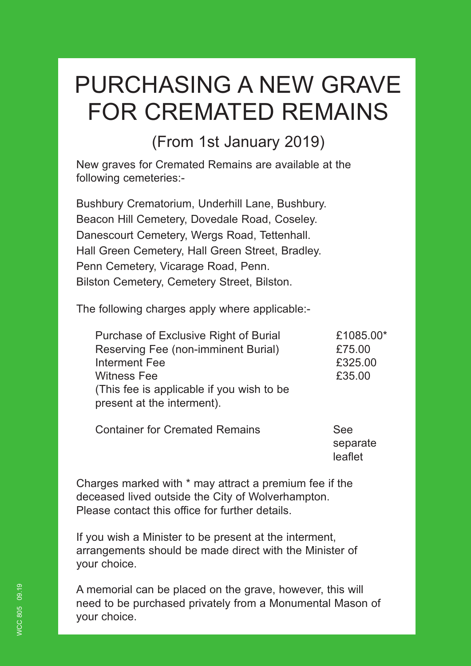## PURCHASING A NEW GRAVE FOR CREMATED REMAINS

(From 1st January 2019)

New graves for Cremated Remains are available at the following cemeteries:-

Bushbury Crematorium, Underhill Lane, Bushbury. Beacon Hill Cemetery, Dovedale Road, Coseley. Danescourt Cemetery, Wergs Road, Tettenhall. Hall Green Cemetery, Hall Green Street, Bradley. Penn Cemetery, Vicarage Road, Penn. Bilston Cemetery, Cemetery Street, Bilston.

The following charges apply where applicable:-

| Purchase of Exclusive Right of Burial     | £1085.00* |
|-------------------------------------------|-----------|
| Reserving Fee (non-imminent Burial)       | £75.00    |
| Interment Fee                             | £325.00   |
| <b>Witness Fee</b>                        | £35.00    |
| (This fee is applicable if you wish to be |           |
| present at the interment).                |           |

**Container for Cremated Remains See** 

 separate leaflet in the control of the control of the control of the control of the control of the control of the control of the control of the control of the control of the control of the control of the control of the control of t

Charges marked with \* may attract a premium fee if the deceased lived outside the City of Wolverhampton. Please contact this office for further details.

If you wish a Minister to be present at the interment, arrangements should be made direct with the Minister of your choice.

A memorial can be placed on the grave, however, this will need to be purchased privately from a Monumental Mason of your choice.